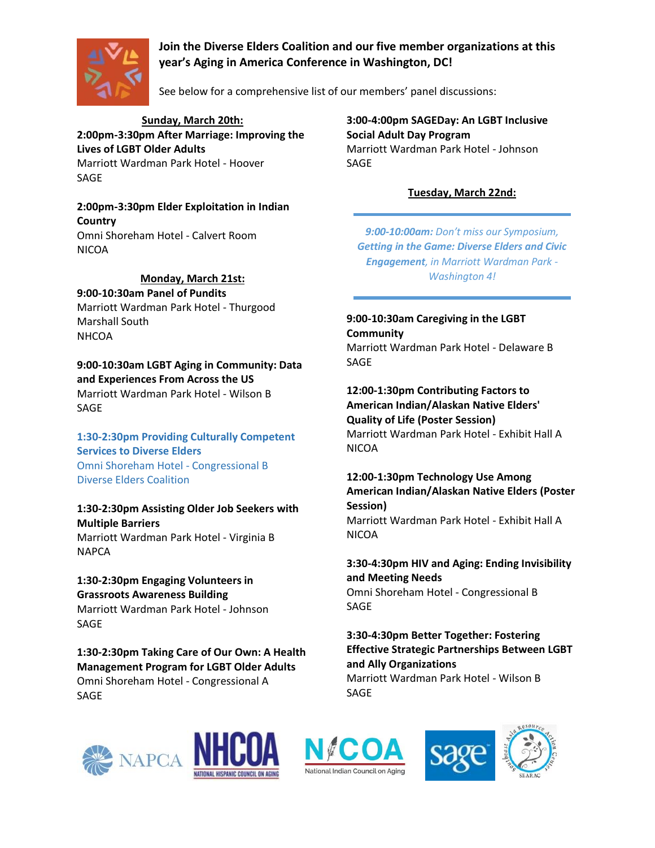

SAGE

### **Join the Diverse Elders Coalition and our five member organizations at this year's Aging in America Conference in Washington, DC!**

See below for a comprehensive list of our members' panel discussions:

#### **Sunday, March 20th: 2:00pm-3:30pm After Marriage: Improving the Lives of LGBT Older Adults** Marriott Wardman Park Hotel - Hoover

**2:00pm-3:30pm Elder Exploitation in Indian Country** Omni Shoreham Hotel - Calvert Room

NICOA

### **Monday, March 21st:**

**9:00-10:30am Panel of Pundits** Marriott Wardman Park Hotel - Thurgood Marshall South **NHCOA** 

**9:00-10:30am LGBT Aging in Community: Data and Experiences From Across the US** Marriott Wardman Park Hotel - Wilson B SAGE

**1:30-2:30pm Providing Culturally Competent Services to Diverse Elders** Omni Shoreham Hotel - Congressional B Diverse Elders Coalition

# **1:30-2:30pm Assisting Older Job Seekers with Multiple Barriers**

Marriott Wardman Park Hotel - Virginia B NAPCA

**1:30-2:30pm Engaging Volunteers in Grassroots Awareness Building** Marriott Wardman Park Hotel - Johnson SAGE

**1:30-2:30pm Taking Care of Our Own: A Health Management Program for LGBT Older Adults** Omni Shoreham Hotel - Congressional A SAGE

**3:00-4:00pm SAGEDay: An LGBT Inclusive Social Adult Day Program** Marriott Wardman Park Hotel - Johnson SAGE

### **Tuesday, March 22nd:**

*9:00-10:00am: Don't miss our Symposium, Getting in the Game: Diverse Elders and Civic Engagement, in Marriott Wardman Park - Washington 4!*

## **9:00-10:30am Caregiving in the LGBT Community** Marriott Wardman Park Hotel - Delaware B

SAGE

**12:00-1:30pm Contributing Factors to American Indian/Alaskan Native Elders' Quality of Life (Poster Session)** Marriott Wardman Park Hotel - Exhibit Hall A NICOA

#### **12:00-1:30pm Technology Use Among American Indian/Alaskan Native Elders (Poster Session)** Marriott Wardman Park Hotel - Exhibit Hall A NICOA

**3:30-4:30pm HIV and Aging: Ending Invisibility and Meeting Needs**

Omni Shoreham Hotel - Congressional B SAGE

### **3:30-4:30pm Better Together: Fostering Effective Strategic Partnerships Between LGBT and Ally Organizations**

Marriott Wardman Park Hotel - Wilson B SAGE